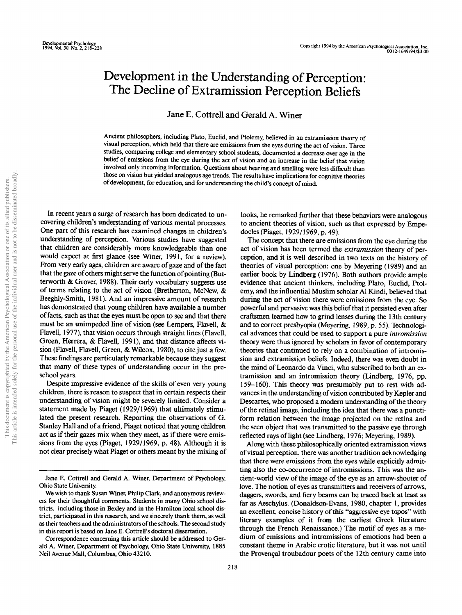# Development in the Understanding of Perception: The Decline of Extramission Perception Beliefs

Jane E. Cottrell and Gerald A. Winer

Ancient philosophers, including Plato, Euclid, and Ptolemy, believed in an extramission theory of visual perception, which held that there are emissions from the eyes during the act of vision. Three studies, comparing college and elementary school students, documented a decrease over age in the belief of emissions from the eye during the act of vision and an increase in the belief that vision involved only incoming information. Questions about hearing and smelling were less difficult than those on vision but yielded analogous age trends. The results have implications for cognitive theories of development, for education, and for understanding the child's concept of mind.

In recent years a surge of research has been dedicated to uncovering children's understanding of various mental processes. One part of this research has examined changes in children's understanding of perception. Various studies have suggested that children are considerably more knowledgeable than one would expect at first glance (see Winer, 1991, for a review). From very early ages, children are aware of gaze and of the fact that the gaze of others might serve the function of pointing (Butterworth & Grover, 1988). Their early vocabulary suggests use of terms relating to the act of vision (Bretherton, McNew, & Beeghly-Smith, 1981). And an impressive amount of research has demonstrated that young children have available a number of facts, such as that the eyes must be open to see and that there must be an unimpeded line of vision (see Lempers, Flavell, & Flavell, 1977), that vision occurs through straight lines (Flavell, Green, Herrera, & Flavell, 1991), and that distance affects vision (Flavell, Flavell, Green, & Wilcox, 1980), to cite just a few. These findings are particularly remarkable because they suggest that many of these types of understanding occur in the preschool years.

Despite impressive evidence of the skills of even very young children, there is reason to suspect that in certain respects their understanding of vision might be severely limited. Consider a statement made by Piaget (1929/1969) that ultimately stimulated the present research. Reporting the observations of G. Stanley Hall and of a friend, Piaget noticed that young children act as if their gazes mix when they meet, as if there were emissions from the eyes (Piaget, 1929/1969, p. 48). Although it is not clear precisely what Piaget or others meant by the mixing of

Correspondence concerning this article should be addressed to Gerald A. Winer, Department of Psychology, Ohio State University, 1885 Neil Avenue Mall, Columbus, Ohio 43210.

looks, he remarked further that these behaviors were analogous to ancient theories of vision, such as that expressed by Empedocles (Piaget, 1929/1969, p. 49).

The concept that there are emissions from the eye during the act of vision has been termed the *extramission* theory of perception, and it is well described in two texts on the history of theories of visual perception: one by Meyering (1989) and an earlier book by Lindberg (1976). Both authors provide ample evidence that ancient thinkers, including Plato, Euclid, Ptolemy, and the influential Muslim scholar Al Kindi, believed that during the act of vision there were emissions from the eye. So powerful and pervasive was this belief that it persisted even after craftsmen learned how to grind lenses during the 13th century and to correct presbyopia (Meyering, 1989, p. 55). Technological advances that could be used to support a pure *intromission* theory were thus ignored by scholars in favor of contemporary theories that continued to rely on a combination of intromission and extramission beliefs. Indeed, there was even doubt in the mind of Leonardo da Vinci, who subscribed to both an extramission and an intromission theory (Lindberg, 1976, pp. 159-160). This theory was presumably put to rest with advances in the understanding of vision contributed by Kepler and Descartes, who proposed a modern understanding of the theory of the retinal image, including the idea that there was a punctiform relation between the image projected on the retina and the seen object that was transmitted to the passive eye through reflected rays of light (see Lindberg, 1976; Meyering, 1989).

Along with these philosophically oriented extramission views of visual perception, there was another tradition acknowledging that there were emissions from the eyes while explicitly admitting also the co-occurrence of intromissions. This was the ancient-world view of the image of the eye as an arrow-shooter of love. The notion of eyes as transmitters and receivers of arrows, daggers, swords, and fiery beams can be traced back at least as far as Aeschylus. (Donaldson-Evans, 1980, chapter 1, provides an excellent, concise history of this "aggressive eye topos" with literary examples of it from the earliest Greek literature through the French Renaissance.) The motif of eyes as a medium of emissions and intromissions of emotions had been a constant theme in Arabic erotic literature, but it was not until the Provencal troubadour poets of the 12th century came into

Jane E. Cottrell and Gerald A. Winer, Department of Psychology, Ohio State University.

We wish to thank Susan Winer, Philip Clark, and anonymous reviewers for their thoughtful comments. Students in many Ohio school districts, including those in Bexley and in the Hamilton local school district, participated in this research, and we sincerely thank them, as well as their teachers and the administrators of the schools. The second study in this report is based on Jane E. Cottrell's doctoral dissertation.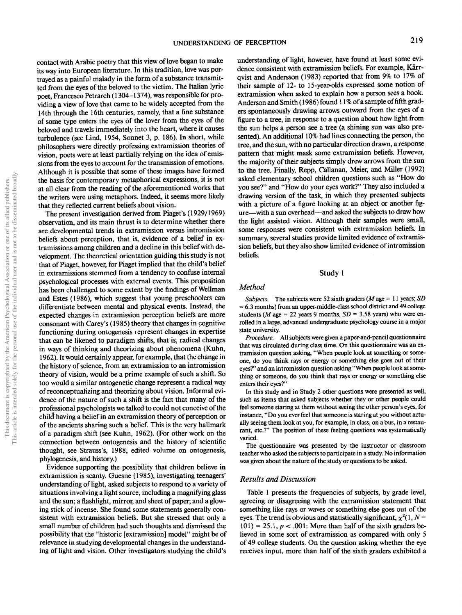contact with Arabic poetry that this view of love began to make its way into European literature. In this tradition, love was portrayed as a painful malady in the form of a substance transmitted from the eyes of the beloved to the victim. The Italian lyric poet, Francesco Petrarch (1304-1374), was responsible for providing a view of love that came to be widely accepted from the 14th through the 16th centuries, namely, that a fine substance of some type enters the eyes of the lover from the eyes of the beloved and travels immediately into the heart, where it causes turbulence (see Lind, 1954, Sonnet 3, p. 186). In short, while philosophers were directly professing extramission theories of vision, poets were at least partially relying on the idea of emissions from the eyes to account for the transmission of emotions. Although it is possible that some of these images have formed the basis for contemporary metaphorical expressions, it is not at all clear from the reading of the aforementioned works that the writers were using metaphors. Indeed, it seems, more likely that they reflected current beliefs about vision.

The present investigation derived from Piaget's (1929/1969) observation, and its main thrust is to determine whether there are developmental trends in extramission versus intromission beliefs about perception, that is, evidence of a belief in extramissions among children and a decline in this belief with development. The theoretical orientation guiding this study is not that of Piaget, however, for Piaget implied that the child's belief in extramissions stemmed from a tendency to confuse internal psychological processes with external events. This proposition has been challenged to some extent by the findings of Wellman and Estes (1986), which suggest that young preschoolers can differentiate between mental and physical events. Instead, the expected changes in extramission perception beliefs are more consonant with Carey's (1985) theory that changes in cognitive functioning during ontogenesis represent changes in expertise that can be likened to paradigm shifts, that is, radical changes in ways of thinking and theorizing about phenomena (Kuhn, 1962). It would certainly appear, for example, that the change in the history of science, from an extramission to an intromission theory of vision, would be a prime example of such a shift. So too would a similar ontogenetic change represent a radical way of reconceptualizing and theorizing about vision. Informal evidence of the nature of such a shift is the fact that many of the professional psychologists we talked to could not conceive of the child having a belief in an extramission theory of perception or of the ancients sharing such a belief. This is the very hallmark of a paradigm shift (see Kuhn, 1962). (For other work on the connection between ontogenesis and the history of scientific thought, see Strauss's, 1988, edited volume on ontogenesis, phylogenesis, and history.)

Evidence supporting the possibility that children believe in extramission is scanty. Guesne (1985), investigating teenagers' understanding of light, asked subjects to respond to a variety of situations involving a light source, including a magnifying glass and the sun; a flashlight, mirror, and sheet of paper; and a glowing stick of incense. She found some statements generally consistent with extramission beliefs. But she stressed that only a small number of children had such thoughts and dismissed the possibility that the "historic [extramission] model" might be of relevance in studying developmental changes in the understanding of light and vision. Other investigators studying the child's understanding of light, however, have found at least some evidence consistent with extramission beliefs. For example, Kärrqvist and Andersson (1983) reported that from 9% to 17% of their sample of 12- to 15-year-olds expressed some notion of extramission when asked to explain how a person sees a book. Anderson and Smith (1986) found 11% of a sample of fifth graders spontaneously drawing arrows outward from the eyes of a figure to a tree, in response to a question about how light from the sun helps a person see a tree (a shining sun was also presented). An additional 10% had lines connecting the person, the tree, and the sun, with no particular direction drawn, a response pattern that might mask some extramission beliefs. However, the majority of their subjects simply drew arrows from the sun to the tree. Finally, Repp, Callanan, Meier, and Miller (1992) asked elementary school children questions such as "How do you see?" and "How do your eyes work?" They also included a drawing version of the task, in which they presented subjects with a picture of a figure looking at an object or another figure—with a sun overhead—and asked the subjects to draw how the light assisted vision. Although their samples were small, some responses were consistent with extramission beliefs. In summary, several studies provide limited evidence of extramission beliefs, but they also show limited evidence of intromission beliefs.

#### Study 1

## *Method*

*Subjects.* The subjects were 52 sixth graders *(M* age = 11 years; *SD* = 6.3 months) from an upper-middle-class school district and49 college students (M age = 22 years 9 months,  $SD = 3.58$  years) who were enrolled in a large, advanced undergraduate psychology course in a major state university.

*Procedure.* All subjects were given a paper-and-pencil questionnaire that was circulated during class time. On this questionnaire was an extramission question asking, "When people look at something or someone, do you think rays or energy or something else goes out of their eyes?" and an intromission question asking "When people look at something or someone, do you think that rays or energy or something else enters their eyes?"

In this study and in Study 2 other questions were presented as well, such as items that asked subjects whether they or other people could feel someone staring at them without seeing the other person's eyes, for instance, "Do you ever feel that someone is staring at you without actually seeing them look at you, for example, in class, on a bus, in a restaurant, etc.?" The position of these feeling questions was systematically varied.

The questionnaire was presented by the instructor or classroom teacher who asked the subjects to participate in a study. No information was given about the nature of the study or questions to be asked.

## *Results and Discussion*

Table 1 presents the frequencies of subjects, by grade level, agreeing or disagreeing with the extramission statement that something like rays or waves or something else goes out of the eyes. The trend is obvious and statistically significant,  $\chi^2(1, N = 1)$  $101$ ) = 25.1,  $p < .001$ : More than half of the sixth graders believed in some sort of extramission as compared with only 5 of 49 college students. On the question asking whether the eye receives input, more than half of the sixth graders exhibited a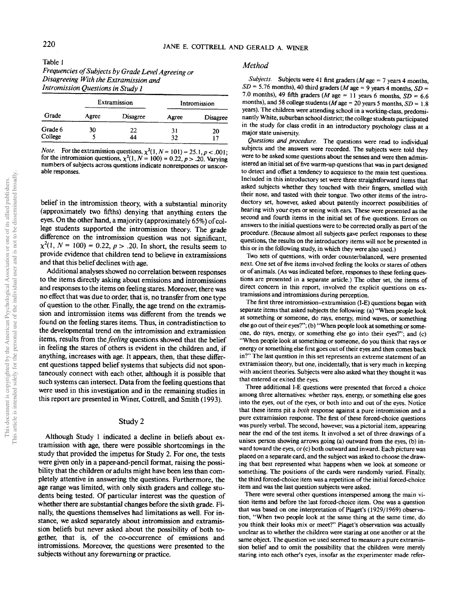| Table 1                                            |
|----------------------------------------------------|
| Frequencies of Subjects by Grade Level Agreeing or |
| Disagreeing With the Extramission and              |
| Intromission Questions in Study 1                  |

|         | Extramission |                 | Intromission |          |  |
|---------|--------------|-----------------|--------------|----------|--|
| Grade   | Agree        | <b>Disagree</b> | Agree        | Disagree |  |
| Grade 6 | 30           | 22              | 31           | 20       |  |
| College |              | 44              | 32           | 17       |  |

*Note.* For the extramission questions,  $\chi^2(1, N = 101) = 25.1, p < .001$ ; for the intromission questions,  $\chi^2(1, N = 100) = 0.22, p > .20$ . Varying numbers of subjects across questions indicate nonresponses or unscorable responses.

belief in the intromission theory, with a substantial minority (approximately two fifths) denying that anything enters the eyes. On the other hand, a majority (approximately 65%) of college students supported the intromission theory. The grade difference on the intromission question was not significant,  $\chi^2(1, N = 100) = 0.22, p > .20$ . In short, the results seem to provide evidence that children tend to believe in extramissions and that this belief declines with age.

Additional analyses showed no correlation between responses to the items directly asking about emissions and intromissions and responses to the items on feeling stares. Moreover, there was no effect that was due to order, that is, no transfer from one type of question to the other. Finally, the age trend on the extramission and intromission items was different from the trends we found on the feeling stares items. Thus, in contradistinction to the developmental trend on the intromission and extramission items, results from the *feeling* questions showed that the belief in feeling the stares of others is evident in the children and, if anything, increases with age. It appears, then, that these different questions tapped belief systems that subjects did not spontaneously connect with each other, although it is possible that such systems can intersect. Data from the feeling questions that were used in this investigation and in the remaining studies in this report are presented in Winer, Cottrell, and Smith (1993).

#### Study 2

Although Study 1 indicated a decline in beliefs about extramission with age, there were possible shortcomings in the study that provided the impetus for Study 2. For one, the tests were given only in a paper-and-pencil format, raising the possibility that the children or adults might have been less than completely attentive in answering the questions. Furthermore, the age range was limited, with only sixth graders and college students being tested. Of particular interest was the question of whether there are substantial changes before the sixth grade. Finally, the questions themselves had limitations as well. For instance, we asked separately about intromission and extramission beliefs but never asked about the possibility of both together, that is, of the co-occurrence of emissions and intromissions. Moreover, the questions were presented to the subjects without any forewarning or practice.

## *Method*

*Subjects.* Subjects were 41 first graders *(M* age = 7 years 4 months,  $SD = 5.76$  months), 40 third graders (*M* age = 9 years 4 months, *SD* = 7.0 months), 49 fifth graders (*M* age = 11 years 6 months,  $SD = 6.6$ months), and 58 college students *(M*age = 20 years 5 months, *SD =* 1.8 years). The children were attending school in a working-class, predominantly White, suburban school district; the college students participated in the study for class credit in an introductory psychology class at a major state university.

*Questions and procedure.* The questions were read to individual subjects and the answers were recorded. The subjects were told they were to be asked some questions about the senses and were then administered an initial set of five warm-up questions that was in part designed to detect and offset a tendency to acquiesce to the main test questions. Included in this introductory set were three straightforward items that asked subjects whether they touched with their fingers, smelled with their nose, and tasted with their tongue. Two other items of the introductory set, however, asked about patently incorrect possibilities of hearing with your eyes or seeing with ears. These were presented as the second and fourth items in the initial set of five questions. Errors on answers to the initial questions were to be corrected orally as part of the procedure. (Because almost all subjects gave perfect responses to these questions, the results on the introductory items will not be presented in this or in the following study, in which they were also used.)

Two sets of questions, with order counterbalanced, were presented next. One set of five items involved feeling the looks or stares of others or of animals. (As was indicated before, responses to these feeling questions are presented in a separate article.) The other set, the items of direct concern in this report, involved the explicit questions on extramissions and intromissions during perception.

The first three intromission-extramission (I-E) questions began with separate items that asked subjects the following: (a) "When people look at something or someone, do rays, energy, mind waves, or something else go out of their eyes?"; (b) "When people look at something or someone, do rays, energy, or something else go into their eyes?"; and (c) "When people look at something or someone, do you think that rays or energy or something else first goes out of their eyes and then comes back in?" The last question in this set represents an extreme statement of an extramission theory, but one, incidentally, that is very much in keeping with ancient theories. Subjects were also asked what they thought it was that entered or exited the eyes.

Three additional I-E questions were presented that forced a choice among three alternatives: whether rays, energy, or something else goes into the eyes, out of the eyes, or both into and out of the eyes. Notice that these items pit a *both* response against a pure intromission and a pure extramission response. The first of these forced-choice questions was purely verbal. The second, however, was a pictorial item, appearing near the end of the test items. It involved a set of three drawings of a unisex person showing arrows going (a) outward from the eyes, (b) inward toward the eyes, or (c) both outward and inward. Each picture was placed on a separate card, and the subject was asked to choose the drawing that best represented what happens when we look at someone or something. The positions of the cards were randomly varied. Finally, the third forced-choice item was a repetition of the initial forced-choice item and was the last question subjects were asked.

There were several other questions interspersed among the main vision items and before the last forced-choice item. One was a question that was based on one interpretation of Piaget's (1929/1969) observation, "When two people look at the same thing at the same time, do you think their looks mix or meet?" Piaget's observation was actually unclear as to whether the children were staring at one another or at the same object. The question we used seemed to measure a pure extramission belief and to omit the possibility that the children were merely staring into each other's eyes, insofar as the experimenter made refer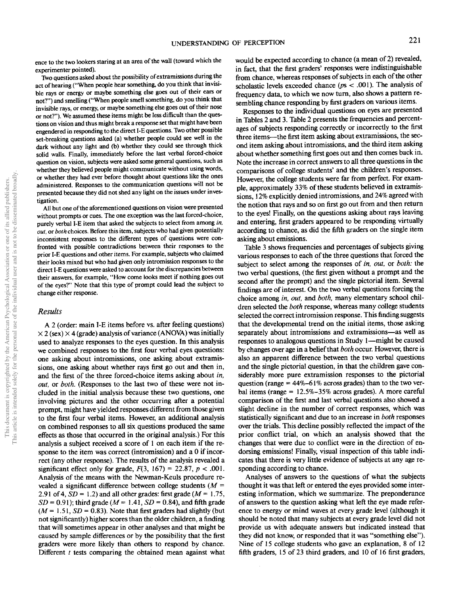ence to the two lookers staring at an area of the wall (toward which the experimenter pointed).

Two questions asked about the possibility of extramissions during the act of hearing ("When people hear something, do you think that invisible rays or energy or maybe something else goes out of their ears or not?") and smelling ("When people smell something, do you think that invisible rays, or energy, or maybe something else goes out of their nose or not?"). We assumed these items might be less difficult than the questions on vision and thus might break a response set that might have been engendered in responding to the direct I-E questions. Two other possible set-breaking questions asked (a) whether people could see well in the dark without any light and (b) whether they could see through thick solid walls. Finally, immediately before the last verbal forced-choice question on vision, subjects were asked some general questions, such as whether they believed people might communicate without using words, or whether they had ever before thought about questions like the ones administered. Responses to the communication questions will not be presented because they did not shed any light on the issues under investigation.

All but one of the aforementioned questions on vision were presented without prompts or cues. The one exception was the last forced-choice, purely verbal I-E item that asked the subjects to select from among *in, out,* or *both* choices. Before this item, subjects who had given potentially inconsistent responses to the different types of questions were confronted with possible contradictions between their responses to the prior I-E questions and other items. For example, subjects who claimed their looks mixed but who had given only intromission responses to the direct I-E questions were asked to account for the discrepancies between their answers, for example, "How come looks meet if nothing goes out of the eyes?" Note that this type of prompt could lead the subject to change either response.

#### *Results*

A 2 (order: main I-E items before vs. after feeling questions)  $\times$  2 (sex)  $\times$  4 (grade) analysis of variance (ANOVA) was initially used to analyze responses to the eyes question. In this analysis we combined responses to the first four verbal eyes questions: one asking about intromissions, one asking about extramissions, one asking about whether rays first go out and then in, and the first of the three forced-choice items asking about *in, out,* or *both.* (Responses to the last two of these were not included in the initial analysis because these two questions, one involving pictures and the other occurring after a potential prompt, might have yielded responses different from those given to the first four verbal items. However, an additional analysis on combined responses to all six questions produced the same effects as those that occurred in the original analysis.) For this analysis a subject received a score of 1 on each item if the response to the item was correct (intromission) and a 0 if incorrect (any other response). The results of the analysis revealed a significant effect only for grade,  $F(3, 167) = 22.87, p < .001$ . Analysis of the means with the Newman-Keuls procedure revealed a significant difference between college students *{M* = 2.91 of 4,  $SD = 1.2$ ) and all other grades: first grade ( $M = 1.75$ ,  $SD = 0.91$ ; third grade ( $M = 1.41$ ,  $SD = 0.84$ ), and fifth grade  $(M = 1.51, SD = 0.83)$ . Note that first graders had slightly (but not significantly) higher scores than the older children, a finding that will sometimes appear in other analyses and that might be caused by sample differences or by the possibility that the first graders were more likely than others to respond by chance. Different *t* tests comparing the obtained mean against what

would be expected according to chance (a mean of 2) revealed, in fact, that the first graders' responses were indistinguishable from chance, whereas responses of subjects in each of the other scholastic levels exceeded chance ( $ps < .001$ ). The analysis of frequency data, to which we now turn, also shows a pattern resembling chance responding by first graders on various items.

Responses to the individual questions on eyes are presented in Tables 2 and 3. Table 2 presents the frequencies and percentages of subjects responding correctly or incorrectly to the first three items—the first item asking about extramissions, the second item asking about intromissions, and the third item asking about whether something first goes out and then comes back in. Note the increase in correct answers to all three questions in the comparisons of college students' and the children's responses. However, the college students were far from perfect. For example, approximately 33% of these students believed in extramissions, 12% explicitly denied intromissions, and 24% agreed with the notion that rays and so on first go out from and then return to the eyes! Finally, on the questions asking about rays leaving and entering, first graders appeared to be responding virtually according to chance, as did the fifth graders on the single item asking about emissions.

Table 3 shows frequencies and percentages of subjects giving various responses to each of the three questions that forced the subject to select among the responses of *in, out,* or *both:* the two verbal questions, (the first given without a prompt and the second after the prompt) and the single pictorial item. Several findings are of interest. On the two verbal questions forcing the choice among *in, out,* and *both,* many elementary school children selected the *both* response, whereas many college students selected the correct intromission response. This finding suggests that the developmental trend on the initial items, those asking separately about intromissions and extramissions—as well as responses to analogous questions in Study 1—might be caused by changes over age in a belief that *both* occur. However, there is also an apparent difference between the two verbal questions and the single pictorial question, in that the children gave considerably more pure extramission responses to the pictorial question (range  $= 44\% - 61\%$  across grades) than to the two verbal items (range  $= 12.5\% - 35\%$  across grades). A more careful comparison of the first and last verbal questions also showed a slight decline in the number of correct responses, which was statistically significant and due to an increase in *both* responses over the trials. This decline possibly reflected the impact of the prior conflict trial, on which an analysis showed that the changes that were due to conflict were in the direction of endorsing emissions! Finally, visual inspection of this table indicates that there is very little evidence of subjects at any age responding according to chance.

Analyses of answers to the questions of what the subjects thought it was that left or entered the eyes provided some interesting information, which we summarize. The preponderance of answers to the question asking what left the eye made reference to energy or mind waves at every grade level (although it should be noted that many subjects at every grade level did not provide us with adequate answers but indicated instead that they did not know, or responded that it was "something else"). Nine of 15 college students who gave an explanation, 8 of 12 fifth graders, 15 of 23 third graders, and 10 of 16 first graders,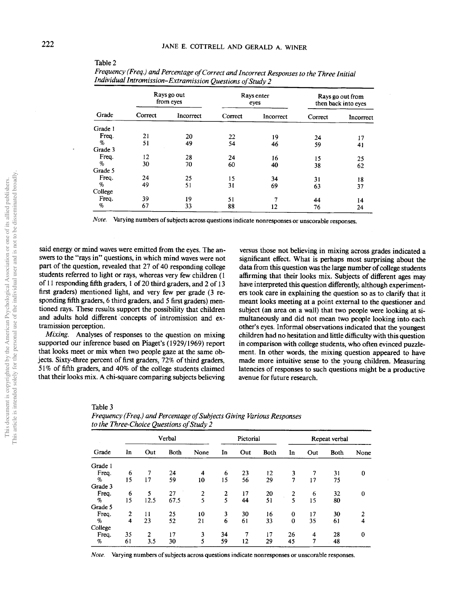|         |         | Rays go out<br>Rays enter<br>Rays go out from<br>from eyes<br>eyes<br>then back into eyes |         |           |         |           |  |
|---------|---------|-------------------------------------------------------------------------------------------|---------|-----------|---------|-----------|--|
| Grade   | Correct | Incorrect                                                                                 | Correct | Incorrect | Correct | Incorrect |  |
| Grade 1 |         |                                                                                           |         |           |         |           |  |
| Freq.   | 21      | 20                                                                                        | 22      | 19        | 24      | 17        |  |
| $\%$    | 51      | 49                                                                                        | 54      | 46        | 59      | 41        |  |
| Grade 3 |         |                                                                                           |         |           |         |           |  |
| Freq.   | 12      | 28                                                                                        | 24      | 16        | 15      | 25        |  |
| %       | 30      | 70                                                                                        | 60      | 40        | 38      | 62        |  |
| Grade 5 |         |                                                                                           |         |           |         |           |  |
| Freq.   | 24      | 25                                                                                        | 15      | 34        | 31      | 18        |  |
| %       | 49      | 51                                                                                        | 31      | 69        | 63      | 37        |  |
| College |         |                                                                                           |         |           |         |           |  |
| Freq.   | 39      | 19                                                                                        | 51      | 7         | 44      | 14        |  |
| %       | 67      | 33                                                                                        | 88      | 12        | 76      | 24        |  |

*Frequency (Freq.) and Percentage of Cor red and Incorrect Responses to the Three Initial Individual Intromission-Extramission Questions of Study 2*

*Note.* Varying numbers of subjects across questions indicate nonresponses or unscorable responses.

said energy or mind waves were emitted from the eyes. The answers to the "rays in" questions, in which mind waves were not part of the question, revealed that 27 of 40 responding college students referred to light or rays, whereas very few children (1 of 11 responding fifth graders, 1 of 20 third graders, and 2 of 13 first graders) mentioned light, and very few per grade (3 responding fifth graders, 6 third graders, and 5 first graders) mentioned rays. These results support the possibility that children and adults hold different concepts of intromission and extramission perception.

*Mixing.* Analyses of responses to the question on mixing supported our inference based on Piaget's (1929/1969) report that looks meet or mix when two people gaze at the same objects. Sixty-three percent of first graders, 72% of third graders, 51% of fifth graders, and 40% of the college students claimed that their looks mix. A chi-square comparing subjects believing

versus those not believing in mixing across grades indicated a significant effect. What is perhaps most surprising about the data from this question was the large number of college students affirming that their looks mix. Subjects of different ages may have interpreted this question differently, although experimenters took care in explaining the question so as to clarify that it meant looks meeting at a point external to the questioner and subject (an area on a wall) that two people were looking at simultaneously and did not mean two people looking into each other's eyes. Informal observations indicated that the youngest children had no hesitation and little difficulty with this question in comparison with college students, who often evinced puzzlement. In other words, the mixing question appeared to have made more intuitive sense to the young children. Measuring latencies of responses to such questions might be a productive avenue for future research.

| ľ<br>я<br>ı<br>ъ |  |
|------------------|--|
|------------------|--|

|         | Verbal         |      |      | Pictorial |    |     | Repeat verbal |          |     |      |                |
|---------|----------------|------|------|-----------|----|-----|---------------|----------|-----|------|----------------|
| Grade   | In             | Out  | Both | None      | In | Out | <b>Both</b>   | In       | Out | Both | None           |
| Grade 1 |                |      |      |           |    |     |               |          |     |      |                |
| Freq.   | 6              | 7    | 24   | 4         | 6  | 23  | 12            | 3        |     | 31   | $\bf{0}$       |
| $\%$    | 15             | 17   | 59   | 10        | 15 | 56  | 29            | 7        | 17  | 75   |                |
| Grade 3 |                |      |      |           |    |     |               |          |     |      |                |
| Freq.   | 6              | 5    | 27   | 2         | 2  | 17  | 20            | 2        | 6   | 32   | $\bf{0}$       |
| $\%$    | 15             | 12.5 | 67.5 | 5         | 5  | 44  | 51            | 5        | 15  | 80   |                |
| Grade 5 |                |      |      |           |    |     |               |          |     |      |                |
| Freq.   | $\overline{2}$ | 11   | 25   | 10        | 3  | 30  | 16            | $\Omega$ | 17  | 30   | $\overline{2}$ |
| %       | 4              | 23   | 52   | 21        | 6  | 61  | 33            | $\Omega$ | 35  | 61   | $\overline{4}$ |
| College |                |      |      |           |    |     |               |          |     |      |                |
| Freq.   | 35             | 2    | 17   | 3         | 34 | 7   | 17            | 26       | 4   | 28   | $\bf{0}$       |
| $\%$    | 61             | 3.5  | 30   | 5         | 59 | 12  | 29            | 45       | 7   | 48   |                |

*Frequency (Freq.) and Percentage of Subjects Giving Various Responses to the Three-Choice Questions of Study 2*

*Note.* Varying numbers of subjects across questions indicate nonresponses or unscorable responses.

Table 2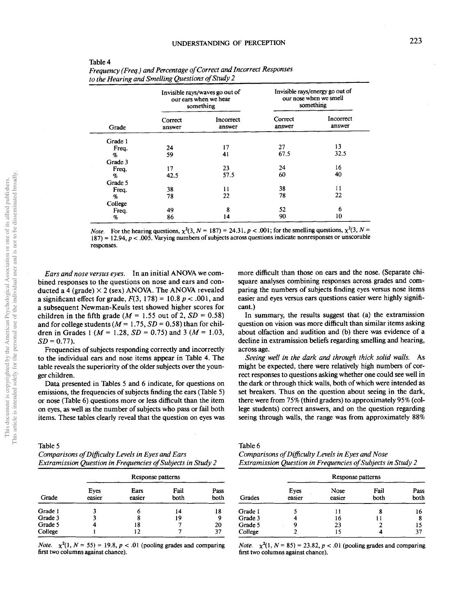|         |                   | Invisible rays/waves go out of<br>our ears when we hear<br>something |                   | Invisible rays/energy go out of<br>our nose when we smell<br>something |
|---------|-------------------|----------------------------------------------------------------------|-------------------|------------------------------------------------------------------------|
| Grade   | Correct<br>answer | Incorrect<br>answer                                                  | Correct<br>answer | Incorrect<br>answer                                                    |
| Grade 1 |                   |                                                                      |                   |                                                                        |
| Freq.   | 24                | 17                                                                   | 27                | 13                                                                     |
| $\%$    | 59                | 41                                                                   | 67.5              | 32.5                                                                   |
| Grade 3 |                   |                                                                      |                   |                                                                        |
| Freq.   | 17                | 23                                                                   | 24                | 16                                                                     |
| %       | 42.5              | 57.5                                                                 | 60                | 40                                                                     |
| Grade 5 |                   |                                                                      |                   |                                                                        |
| Freq.   | 38                | 11                                                                   | 38                | 11                                                                     |
| %       | 78                | 22                                                                   | 78                | 22                                                                     |
| College |                   |                                                                      |                   |                                                                        |
| Freq.   | 49                | 8                                                                    | 52                | 6                                                                      |
| %       | 86                | 14                                                                   | 90                | 10                                                                     |

| Frequency (Freq.) and Percentage of Correct and Incorrect Responses |  |
|---------------------------------------------------------------------|--|
| to the Hearing and Smelling Questions of Study 2                    |  |

*Note.* For the hearing questions,  $\chi^2(3, N = 187) = 24.31$ ,  $p < .001$ ; for the smelling questions,  $\chi^2(3, N = 187)$  $187$ ) = 12.94,  $p < .005$ . Varying numbers of subjects across questions indicate nonresponses or unscorable responses.

*Ears and nose versus eyes.* In an initial ANOVA we combined responses to the questions on nose and ears and conducted a 4 (grade)  $\times$  2 (sex) ANOVA. The ANOVA revealed a significant effect for grade,  $F(3, 178) = 10.8 p < .001$ , and a subsequent Newman-Keuls test showed higher scores for children in the fifth grade ( $M = 1.55$  out of 2,  $SD = 0.58$ ) and for college students ( $M = 1.75$ ,  $SD = 0.58$ ) than for children in Grades 1 *(M =* 1.28, *SD =* 0.75) and 3 *[M =* 1.03,  $SD = 0.77$ .

Table 4

Frequencies of subjects responding correctly and incorrectly to the individual ears and nose items appear in Table 4. The table reveals the superiority of the older subjects over the younger children.

Data presented in Tables 5 and 6 indicate, for questions on emissions, the frequencies of subjects finding the ears (Table 5) or nose (Table 6) questions more or less difficult than the item on eyes, as well as the number of subjects who pass or fail both items. These tables clearly reveal that the question on eyes was

Table 5

| Comparisons of Difficulty Levels in Eyes and Ears           |  |
|-------------------------------------------------------------|--|
| Extramission Question in Frequencies of Subjects in Study 2 |  |

|         |                | Response patterns |              |              |
|---------|----------------|-------------------|--------------|--------------|
| Grade   | Eyes<br>easier | Ears<br>easier    | Fail<br>both | Pass<br>both |
| Grade 1 |                | 6                 | 14           | 18           |
| Grade 3 |                | 8                 | 19           | 9            |
| Grade 5 |                | 18                |              | 20           |
| College |                | 12                |              | 37           |

*Note.*  $\chi^2(1, N = 55) = 19.8, p < .01$  (pooling grades and comparing first two columns against chance).

more difficult than those on ears and the nose. (Separate chisquare analyses combining responses across grades and comparing the numbers of subjects finding eyes versus nose items easier and eyes versus ears questions easier were highly significant.)

In summary, the results suggest that (a) the extramission question on vision was more difficult than similar items asking about olfaction and audition and (b) there was evidence of a decline in extramission beliefs regarding smelling and hearing, across age.

*Seeing well in the dark and through thick solid walls.* As might be expected, there were relatively high numbers of correct responses to questions asking whether one could see well in the dark or through thick walls, both of which were intended as set breakers. Thus on the question about seeing in the dark, there were from 75% (third graders) to approximately 95% (college students) correct answers, and on the question regarding seeing through walls, the range was from approximately 88%

Table 6

*Comparisons of Difficulty Levels in Eyes and Nose Extramission Question in Frequencies of Subjects in Study 2*

|         |                | Response patterns |              |              |
|---------|----------------|-------------------|--------------|--------------|
| Grades  | Eyes<br>easier | Nose<br>easier    | Fail<br>both | Pass<br>both |
| Grade 1 |                | 11                |              | 16           |
| Grade 3 | 4              | 16                | 11           | 8            |
| Grade 5 |                | 23                |              | 15           |
| College |                | 15                |              | 37           |

*Note.*  $\chi^2(1, N = 85) = 23.82$ ,  $p < .01$  (pooling grades and comparing first two columns against chance).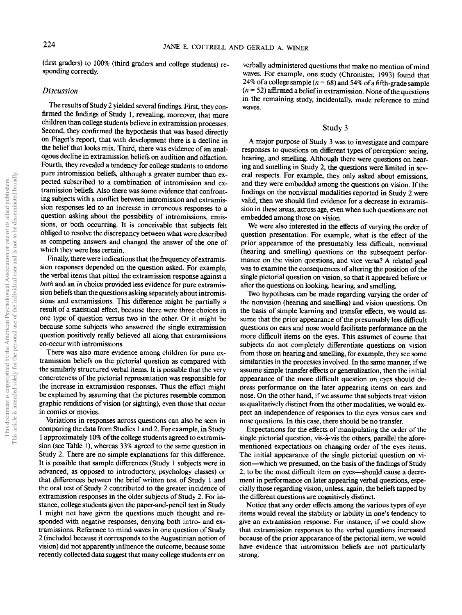(first graders) to 100% (third graders and college students) responding correctly.

# *Discussion*

The results of Study 2 yielded several findings. First, they confirmed the findings of Study 1, revealing, moreover, that more children than college students believe in extramission processes. Second, they confirmed the hypothesis that was based directly on Piaget's report, that with development there is a decline in the belief that looks mix. Third, there was evidence of an analogous decline in extramission beliefs on audition and olfaction. Fourth, they revealed a tendency for college students to endorse pure intromission beliefs, although a greater number than expected subscribed to a combination of intromission and extramission beliefs. Also there was some evidence that confronting subjects with a conflict between intromission and extramission responses led to an increase in erroneous responses to a question asking about the possibility of intromissions, emissions, or both occurring. It is conceivable that subjects felt obliged to resolve the discrepancy between what were described as competing answers and changed the answer of the one of which they were less certain.

Finally, there were indications that the frequency of extramission responses depended on the question asked. For example, the verbal items that pitted the extramission response against a *both* and an *in* choice provided less evidence for pure extramission beliefs than the questions asking separately about intromissions and extramissions. This difference might be partially a result of a statistical effect, because there were three choices in one type of question versus two in the other. Or it might be because some subjects who answered the single extramission question positively really believed all along that extramissions co-occur with intromissions.

There was also more evidence among children for pure extramission beliefs on the pictorial question as compared with the similarly structured verbal items. It is possible that the very concreteness of the pictorial representation was responsible for the increase in extramission responses. Thus the effect might be explained by assuming that the pictures resemble common graphic renditions of vision (or sighting), even those that occur in comics or movies.

Variations in responses across questions can also be seen in comparing the data from Studies 1 and 2. For example, in Study 1 approximately 10% of the college students agreed to extramission (see Table 1), whereas 33% agreed to the same question in Study 2. There are no simple explanations for this difference. It is possible that sample differences (Study 1 subjects were in advanced, as opposed to introductory, psychology classes) or that differences between the brief written test of Study 1 and the oral test of Study 2 contributed to the greater incidence of extramission responses in the older subjects of Study 2. For instance, college students given the paper-and-pencil test in Study 1 might not have given the questions much thought and responded with negative responses, denying both intro- and extramissions. Reference to mind waves in one question of Study 2 (included because it corresponds to the Augustinian notion of vision) did not apparently influence the outcome, because some recently collected data suggest that many college students err on

verbally administered questions that make no mention of mind waves. For example, one study (Chronister, 1993) found that 24% of a college sample  $(n = 68)$  and 54% of a fifth-grade sample  $(n = 52)$  affirmed a belief in extramission. None of the questions in the remaining study, incidentally, made reference to mind waves.

## Study 3

A major purpose of Study 3 was to investigate and compare responses to questions on different types of perception: seeing, hearing, and smelling. Although there were questions on hearing and smelling in Study 2, the questions were limited in several respects. For example, they only asked about emissions, and they were embedded among the questions on vision. If the findings on the nonvisual modalities reported in Study 2 were valid, then we should find evidence for a decrease in extramission in these areas, across age, even when such questions are not embedded among those on vision.

We were also interested in the effects of varying the order of question presentation. For example, what is the effect of the prior appearance of the presumably less difficult, nonvisual (hearing and smelling) questions on the subsequent performance on the vision questions, and vice versa? A related goal was to examine the consequences of altering the position of the single pictorial question on vision, so that it appeared before or after the questions on looking, hearing, and smelling.

Two hypotheses can be made regarding varying the order of the nonvision (hearing and smelling) and vision questions. On the basis of simple learning and transfer effects, we would assume that the prior appearance of the presumably less difficult questions on ears and nose would facilitate performance on the more difficult items on the eyes. This assumes of course that subjects do not completely differentiate questions on vision from those on hearing and smelling, for example, they see some similarities in the processes involved. In the same manner, if we assume simple transfer effects or generalization, then the initial appearance of the more difficult question on eyes should depress performance on the later appearing items on ears and nose. On the other hand, if we assume that subjects treat vision as qualitatively distinct from the other modalities, we would expect an independence of responses to the eyes versus ears and nose questions. In this case, there should be no transfer.

Expectations for the effects of manipulating the order of the single pictorial question, vis-a-vis the others, parallel the aforementioned expectations on changing order of the eyes items. The initial appearance of the single pictorial question on vision—which we presumed, on the basis of the findings of Study 2, to be the most difficult item on eyes—should cause a decrement in performance on later appearing verbal questions, especially those regarding vision, unless, again, the beliefs tapped by the different questions are cognitively distinct.

Notice that any order effects among the various types of eye items would reveal the stability or lability in one's tendency to give an extramission response. For instance, if we could show that extramission responses to the verbal questions increased because of the prior appearance of the pictorial item, we would have evidence that intromission beliefs are not particularly strong.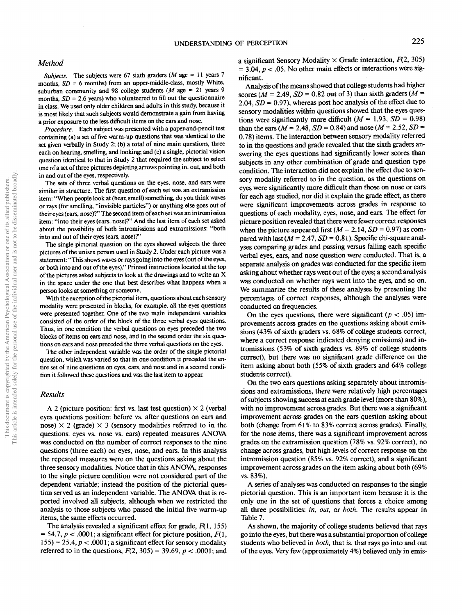# *Method*

*Subjects.* The subjects were 67 sixth graders *(M* age = 11 years 7 months,  $SD = 6$  months) from an upper-middle-class, mostly White, suburban community and 98 college students *(M* age = 21 years 9 months,  $SD = 2.6$  years) who volunteered to fill out the questionnaire in class. We used only older children and adults in this study, because it is most likely that such subjects would demonstrate a gain from having a prior exposure to the less difficult items on the ears and nose.

*Procedure.* Each subject was presented with a paper-and-pencil test containing (a) a set of five warm-up questions that was identical to the set given verbally in Study 2; (b) a total of nine main questions, three each on hearing, smelling, and looking; and (c) a single, pictorial vision question identical to that in Study *2* that required the subject to select one of a set of three pictures depicting arrows pointing in, out, and both in and out of the eyes, respectively.

The sets of three verbal questions on the eyes, nose, and ears were similar in structure. The first question of each set was an extramission item: "When people look at (hear, smell) something, do you think waves or rays (for smelling, "invisible particles") or anything else goes out of their eyes (ears, nose)?" The second item of each set was an intromission item: "into their eyes (ears, nose)?" And the last item of each set asked about the possibility of both intromissions and extramissions: "both into and out of their eyes (ears, nose)?"

The single pictorial question on the eyes showed subjects the three pictures of the unisex person used in Study 2. Under each picture was a statement: "This shows waves or rays going into the eyes (out of the eyes, or both into and out of the eyes)." Printed instructions located at the top of the pictures asked subjects to look at the drawings and to write an X in the space under the one that best describes what happens when a person looks at something or someone.

With the exception of the pictorial item, questions about each sensory modality were presented in blocks, for example, all the eyes questions were presented together. One of the two main independent variables consisted of the order of the block of the three verbal eyes questions. Thus, in one condition the verbal questions on eyes preceded the two blocks of items on ears and nose, and in the second order the six questions on ears and nose preceded the three verbal questions on the eyes.

The other independent variable was the order of the single pictorial question, which was varied so that in one condition it preceded the entire set of nine questions on eyes, ears, and nose and in a second condition it followed these questions and was the last item to appear.

# *Results*

A 2 (picture position: first vs. last test question)  $\times$  2 (verbal eyes questions position: before vs. after questions on ears and nose)  $\times$  2 (grade)  $\times$  3 (sensory modalities referred to in the questions: eyes vs. nose vs. ears) repeated measures ANO\A was conducted on the number of correct responses to the nine questions (three each) on eyes, nose, and ears. In this analysis the repeated measures were on the questions asking about the three sensory modalities. Notice that in this ANOVA, responses to the single picture condition were not considered part of the dependent variable; instead the position of the pictorial question served as an independent variable. The ANOVA that is reported involved all subjects, although when we restricted the analysis to those subjects who passed the initial five warm-up items, the same effects occurred.

The analysis revealed a significant effect for grade,  $F(1, 155)$  $= 54.7, p < .0001$ ; a significant effect for picture position,  $F(1,$  $155$ ) = 25.4,  $p < .0001$ ; a significant effect for sensory modality referred to in the questions, *F{2,* 305) = 39.69, *p <* .0001; and a significant Sensory Modality  $\times$  Grade interaction,  $F(2, 305)$ = 3.04, *p <* .05. No other main effects or interactions were significant.

Analysis of the means showed that college students had higher scores ( $M = 2.49$ ,  $SD = 0.82$  out of 3) than sixth graders ( $M =$ 2.04,  $SD = 0.97$ ), whereas post hoc analysis of the effect due to sensory modalities within questions showed that the eyes questions were significantly more difficult  $(M = 1.93, SD = 0.98)$ than the ears ( $M = 2.48$ ,  $SD = 0.84$ ) and nose ( $M = 2.52$ ,  $SD =$ 0.78) items. The interaction between sensory modality referred to in the questions and grade revealed that the sixth graders answering the eyes questions had significantly lower scores than subjects in any other combination of grade and question type condition. The interaction did not explain the effect due to sensory modality referred to in the question, as the questions on eyes were significantly more difficult than those on nose or ears for each age studied, nor did it explain the grade effect, as there were significant improvements across grades in response to questions of each modality, eyes, nose, and ears. The effect for picture position revealed that there were fewer correct responses when the picture appeared first  $(M = 2.14, SD = 0.97)$  as compared with last  $(M = 2.47, SD = 0.81)$ . Specific chi-square analyses comparing grades and passing versus failing each specific verbal eyes, ears, and nose question were conducted. That is, a separate analysis on grades was conducted for the specific item asking about whether rays went out of the eyes; a second analysis was conducted on whether rays went into the eyes, and so on. We summarize the results of these analyses by presenting the percentages of correct responses, although the analyses were conducted on frequencies.

On the eyes questions, there were significant  $(p < .05)$  improvements across grades on the questions asking about emissions (43% of sixth graders vs. 68% of college students correct, where a correct response indicated denying emissions) and intromissions (53% of sixth graders vs. 89% of college students correct), but there was no significant grade difference on the item asking about both (55% of sixth graders and 64% college students correct).

On the two ears questions asking separately about intromissions and extramissions, there were relatively high percentages of subjects showing success at each grade level (more than 80%), with no improvement across grades. But there was a significant improvement across grades on the ears question asking about both (change from 61% to 83% correct across grades). Finally, for the nose items, there was a significant improvement across grades on the extramission question (78% vs. 92% correct), no change across grades, but high levels of correct response on the intromission question (85% vs. 92% correct), and a significant improvement across grades on the item asking about both (69% vs. 83%).

A series of analyses was conducted on responses to the single pictorial question. This is an important item because it is the only one in the set of questions that forces a choice among all three possibilities: *in, out,* or *both.* The results appear in Table 7.

As shown, the majority of college students believed that rays go into the eyes, but there was a substantial proportion of college students who believed in *both,* that is, that rays go into and out of the eyes. Very few (approximately 4%) believed only in emis-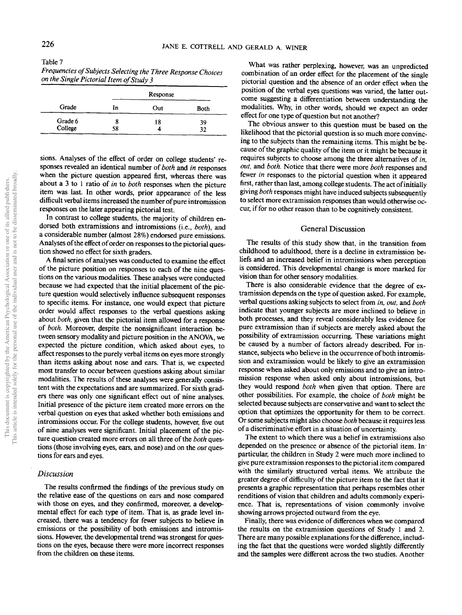| Table 7                                                      |  |
|--------------------------------------------------------------|--|
| Frequencies of Subjects Selecting the Three Response Choices |  |
| on the Single Pictorial Item of Study 3                      |  |

|         |    | Response |      |
|---------|----|----------|------|
| Grade   | In | Out      | Both |
| Grade 6 | 8  | 18       | 39   |
| College | 58 | 4        | 32   |

sions. Analyses of the effect of order on college students' responses revealed an identical number *of both* and *in* responses when the picture question appeared first, whereas there was about a 3 to 1 ratio of *in* to *both* responses when the picture item was last. In other words, prior appearance of the less difficult verbal items increased the number of pure intromission responses on the later appearing pictorial test.

In contrast to college students, the majority of children endorsed both extramissions and intromissions (i.e., *both),* and a considerable number (almost 28%) endorsed pure emissions. Analyses of the effect of order on responses to the pictorial question showed no effect for sixth graders.

A final series of analyses was conducted to examine the effect of the picture position on responses to each of the nine questions on the various modalities. These analyses were conducted because we had expected that the initial placement of the picture question would selectively influence subsequent responses to specific items. For instance, one would expect that picture order would affect responses to the verbal questions asking about *both,* given that the pictorial item allowed for a response of *both.* Moreover, despite the nonsignificant interaction between sensory modality and picture position in the ANOVA, we expected the picture condition, which asked about eyes, to affect responses to the purely verbal items on eyes more strongly than items asking about nose and ears. That is, we expected most transfer to occur between questions asking about similar modalities. The results of these analyses were generally consistent with the expectations and are summarized. For sixth graders there was only one significant effect out of nine analyses. Initial presence of the picture item created more errors on the verbal question on eyes that asked whether both emissions and intromissions occur. For the college students, however, five out of nine analyses were significant. Initial placement of the picture question created more errors on all three of the *both* questions (those involving eyes, ears, and nose) and on the *out* questions for ears and eyes.

### *Discussion*

The results confirmed the findings of the previous study on the relative ease of the questions on ears and nose compared with those on eyes, and they confirmed, moreover, a developmental effect for each type of item. That is, as grade level increased, there was a tendency for fewer subjects to believe in emissions or the possibility of both emissions and intromissions. However, the developmental trend was strongest for questions on the eyes, because there were more incorrect responses from the children on these items.

What was rather perplexing, however, was an unpredicted combination of an order effect for the placement of the single pictorial question and the absence of an order effect when the position of the verbal eyes questions was varied, the latter outcome suggesting a differentiation between understanding the modalities. Why, in other words, should we expect an order effect for one type of question but not another?

The obvious answer to this question must be based on the likelihood that the pictorial question is so much more convincing to the subjects than the remaining items. This might be because of the graphic quality of the item or it might be because it requires subjects to choose among the three alternatives of *in, out,* and *both.* Notice that there were more *both* responses and fewer *in* responses to the pictorial question when it appeared first, rather than last, among college students. The act of initially giving *both* responses might have induced subjects subsequently to select more extramission responses than would otherwise occur, if for no other reason than to be cognitively consistent.

# General Discussion

The results of this study show that, in the transition from childhood to adulthood, there is a decline in extramission beliefs and an increased belief in intromissions when perception is considered. This developmental change is more marked for vision than for other sensory modalities.

There is also considerable evidence that the degree of extramission depends on the type of question asked. For example, verbal questions asking subjects to select from *in, out,* and *both* indicate that younger subjects are more inclined to believe in both processes, and they reveal considerably less evidence for pure extramission than if subjects are merely asked about the possibility of extramission occurring. These variations might be caused by a number of factors already described. For instance, subjects who believe in the occurrence of both intromission and extramission would be likely to give an extramission response when asked about only emissions and to give an intromission response when asked only about intromissions, but they would respond *both* when given that option. There are other possibilities. For example, the choice of *both* might be selected because subjects are conservative and want to select the option that optimizes the opportunity for them to be correct. Or some subjects might also choose *both* because it requires less of a discriminative effort in a situation of uncertainty.

The extent to which there was a belief in extramissions also depended on the presence or absence of the pictorial item. Inparticular, the children in Study 2 were much more inclined to give pure extramission responses to the pictorial item compared with the similarly structured verbal items. We attribute the greater degree of difficulty of the picture item to the fact that it presents a graphic representation that perhaps resembles other renditions of vision that children and adults commonly experience. That is, representations of vision commonly involve showing arrows projected outward from the eye.

Finally, there was evidence of differences when we compared the results on the extramission questions of Study 1 and *2.* There are many possible explanations for the difference, including the fact that the questions were worded slightly differently and the samples were different across the two studies. Another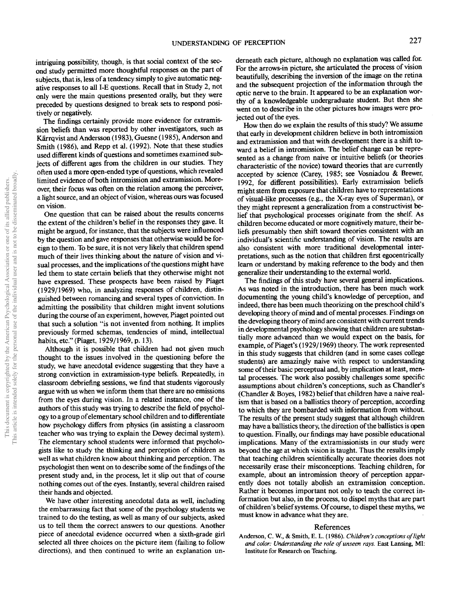intriguing possibility, though, is that social context of the second study permitted more thoughtful responses on the part of subjects, that is, less of a tendency simply to give automatic negative responses to all I-E questions. Recall that in Study 2, not only were the main questions presented orally, but they were preceded by questions designed to break sets to respond positively or negatively.

The findings certainly provide more evidence for extramission beliefs than was reported by other investigators, such as Kärrqvist and Andersson (1983), Guesne (1985), Anderson and Smith (1986), and Repp et al. (1992). Note that these studies used different kinds of questions and sometimes examined subjects of different ages from the children in our studies. They often used a more open-ended type of questions, which revealed limited evidence of both intromission and extramission. Moreover, their focus was often on the relation among the perceiver, a light source, and an object of vision, whereas ours was focused on vision.

One question that can be raised about the results concerns the extent of the children's belief in the responses they gave. It might be argued, for instance, that the subjects were influenced by the question and gave responses that otherwise would be foreign to them. To be sure, it is not very likely that children spend much of their lives thinking about the nature of vision and visual processes, and the implications of the questions might have led them to state certain beliefs that they otherwise might not have expressed. These prospects have been raised by Piaget (1929/1969) who, in analyzing responses of children, distinguished between romancing and several types of conviction. In admitting the possibility that children might invent solutions during the course of an experiment, however, Piaget pointed out that such a solution "is not invented from nothing. It implies previously formed schemas, tendencies of mind, intellectual habits, etc." (Piaget, 1929/1969, p. 13).

Although it is possible that children had not given much thought to the issues involved in the questioning before the study, we have anecdotal evidence suggesting that they have a strong conviction in extramission-type beliefs. Repeatedly, in classroom debriefing sessions, we find that students vigorously argue with us when we inform them that there are no emissions from the eyes during vision. In a related instance, one of the authors of this study was trying to describe the field of psychology to a group of elementary school children and to differentiate how psychology differs from physics (in assisting a classroom teacher who was trying to explain the Dewey decimal system). The elementary school students were informed that psychologists like to study the thinking and perception of children as well as what children know about thinking and perception. The psychologist then went on to describe some of the findings of the present study and, in the process, let it slip out that of course nothing comes out of the eyes. Instantly, several children raised their hands and objected.

We have other interesting anecdotal data as well, including the embarrassing fact that some of the psychology students we trained to do the testing, as well as many of our subjects, asked us to tell them the correct answers to our questions. Another piece of anecdotal evidence occurred when a sixth-grade girl selected all three choices on the picture item (failing to follow directions), and then continued to write an explanation underneath each picture, although no explanation was called for. For the arrows-in picture, she articulated the process of vision beautifully, describing the inversion of the image on the retina and the subsequent projection of the information through the optic nerve to the brain. It appeared to be an explanation worthy of a knowledgeable undergraduate student. But then she went on to describe in the other pictures how images were projected out of the eyes.

How then do we explain the results of this study? We assume that early in development children believe in both intromission and extramission and that with development there is a shift toward a belief in intromission. The belief change can be represented as a change from naive or intuitive beliefs (or theories characteristic of the novice) toward theories that are currently accepted by science (Carey, 1985; see Vosniadou & Brewer, 1992, for different possibilities). Early extramission beliefs might stem from exposure that children have to representations of visual-like processes (e.g., the X-ray eyes of Superman), or they might represent a generalization from a constructivist belief that psychological processes originate from the shelf. As children become educated or more cognitively mature, their beliefs presumably then shift toward theories consistent with an individual's scientific understanding of vision. The results are also consistent with more traditional developmental interpretations, such as the notion that children first egocentrically learn or understand by making reference to the body and then generalize their understanding to the external world.

The findings of this study have several general implications. As was noted in the introduction, there has been much work documenting the young child's knowledge of perception, and indeed, there has been much theorizing on the preschool child's developing theory of mind and of mental processes. Findings on the developing theory of mind are consistent with current trends in developmental psychology showing that children are substantially more advanced than we would expect on the basis, for example, of Piaget's (1929/1969) theory. The work represented in this study suggests that children (and in some cases college students) are amazingly naive with respect to understanding some of their basic perceptual and, by implication at least, mental processes. The work also possibly challenges some specific assumptions about children's conceptions, such as Chandler's (Chandler & Boyes, 1982) belief that children have a naive realism that is based on a ballistics theory of perception, according to which they are bombarded with information from without. The results of the present study suggest that although children may have a ballistics theory, the direction of the ballistics is open to question. Finally, our findings may have possible educational implications. Many of the extramissionists in our study were beyond the age at which vision is taught. Thus the results imply that teaching children scientifically accurate theories does not necessarily erase their misconceptions. Teaching children, for example, about an intromission theory of perception apparently does not totally abolish an extramission conception. Rather it becomes important not only to teach the correct information but also, in the process, to dispel myths that are part of children's belief systems. Of course, to dispel these myths, we must know in advance what they are.

#### References

Anderson, C. W., & Smith, E. L. (1986). *Children's conceptions of light and color: Understanding the role of unseen rays.* East Lansing, MI: Institute for Research on Teaching.